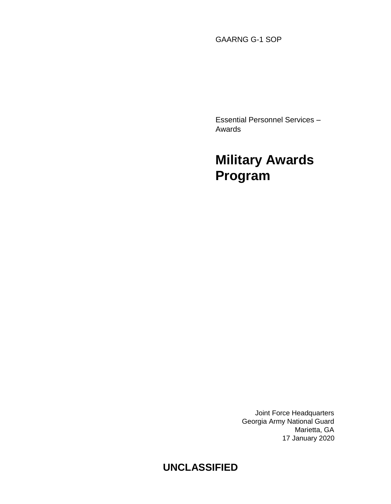GAARNG G-1 SOP

Essential Personnel Services – Awards

# **Military Awards Program**

Joint Force Headquarters Georgia Army National Guard Marietta, GA 17 January 2020

# **UNCLASSIFIED**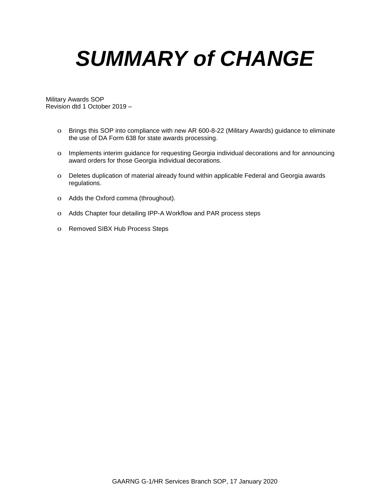# *SUMMARY of CHANGE*

Military Awards SOP Revision dtd 1 October 2019 –

- o Brings this SOP into compliance with new AR 600-8-22 (Military Awards) guidance to eliminate the use of DA Form 638 for state awards processing.
- o Implements interim guidance for requesting Georgia individual decorations and for announcing award orders for those Georgia individual decorations.
- o Deletes duplication of material already found within applicable Federal and Georgia awards regulations.
- o Adds the Oxford comma (throughout).
- o Adds Chapter four detailing IPP-A Workflow and PAR process steps
- o Removed SIBX Hub Process Steps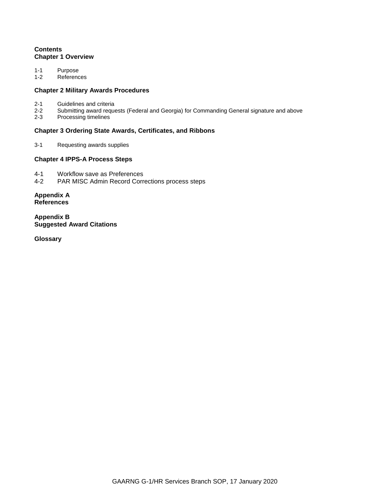# **Contents Chapter 1 Overview**

1-1 Purpose<br>1-2 Referenc

References

# **Chapter 2 Military Awards Procedures**

- 2-1 Guidelines and criteria<br>2-2 Submitting award reque
- 2-2 Submitting award requests (Federal and Georgia) for Commanding General signature and above
- Processing timelines

# **Chapter 3 Ordering State Awards, Certificates, and Ribbons**

3-1 Requesting awards supplies

# **Chapter 4 IPPS-A Process Steps**

- 4-1 Workflow save as Preferences<br>4-2 PAR MISC Admin Record Corre
- PAR MISC Admin Record Corrections process steps

**Appendix A References**

**Appendix B Suggested Award Citations**

**Glossary**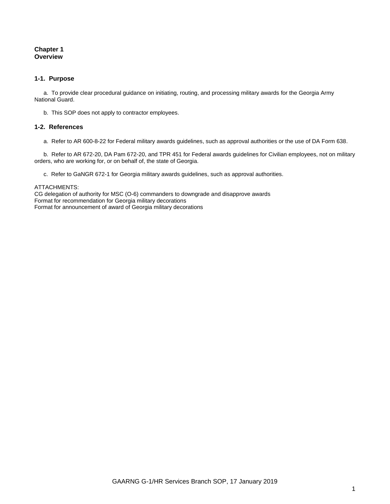# **Chapter 1 Overview**

# **1-1. Purpose**

a. To provide clear procedural guidance on initiating, routing, and processing military awards for the Georgia Army National Guard.

b. This SOP does not apply to contractor employees.

# **1-2. References**

a. Refer to AR 600-8-22 for Federal military awards guidelines, such as approval authorities or the use of DA Form 638.

b. Refer to AR 672-20, DA Pam 672-20, and TPR 451 for Federal awards guidelines for Civilian employees, not on military orders, who are working for, or on behalf of, the state of Georgia.

c. Refer to GaNGR 672-1 for Georgia military awards guidelines, such as approval authorities.

#### ATTACHMENTS:

CG delegation of authority for MSC (O-6) commanders to downgrade and disapprove awards Format for recommendation for Georgia military decorations Format for announcement of award of Georgia military decorations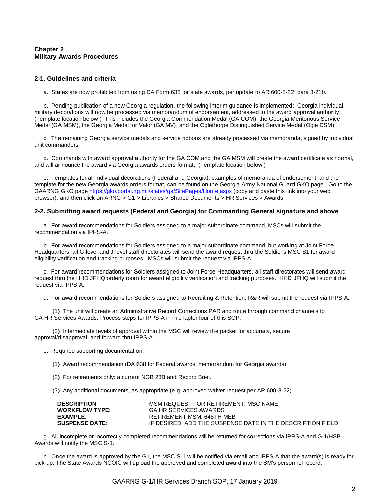# **Chapter 2 Military Awards Procedures**

# **2-1. Guidelines and criteria**

a. States are now prohibited from using DA Form 638 for state awards, per update to AR 600-8-22, para 3-21*b*.

b. Pending publication of a new Georgia regulation, the following interim guidance is implemented: Georgia individual military decorations will now be processed via memorandum of endorsement, addressed to the award approval authority. (Template location below.) This includes the Georgia Commendation Medal (GA COM), the Georgia Meritorious Service Medal (GA MSM), the Georgia Medal for Valor (GA MV), and the Oglethorpe Distinguished Service Medal (Ogle DSM).

c. The remaining Georgia service medals and service ribbons are already processed via memoranda, signed by individual unit commanders.

d. Commands with award approval authority for the GA COM and the GA MSM will create the award certificate as normal, and will announce the award via Georgia awards orders format. (Template location below.)

e. Templates for all individual decorations (Federal and Georgia), examples of memoranda of endorsement, and the template for the new Georgia awards orders format, can be found on the Georgia Army National Guard GKO page. Go to the GAARNG GKO pag[e https://gko.portal.ng.mil/states/ga/SitePages/Home.aspx](https://gko.portal.ng.mil/states/ga/SitePages/Home.aspx) (copy and paste this link into your web browser), and then click on ARNG > G1 > Libraries > Shared Documents > HR Services > Awards.

#### **2-2. Submitting award requests (Federal and Georgia) for Commanding General signature and above**

a. For award recommendations for Soldiers assigned to a major subordinate command, MSCs will submit the recommendation via IPPS-A.

b. For award recommendations for Soldiers assigned to a major subordinate command, but working at Joint Force Headquarters, all G-level and J-level staff directorates will send the award request thru the Soldier's MSC S1 for award eligibility verification and tracking purposes. MSCs will submit the request via IPPS-A.

c. For award recommendations for Soldiers assigned to Joint Force Headquarters, all staff directorates will send award request thru the HHD JFHQ orderly room for award eligibility verification and tracking purposes. HHD JFHQ will submit the request via IPPS-A.

d. For award recommendations for Soldiers assigned to Recruiting & Retention, R&R will submit the request via IPPS-A.

(1) The unit will create an Administrative Record Corrections PAR and route through command channels to GA HR Services Awards. Process steps for IPPS-A in in chapter four of this SOP.

(2) Intermediate levels of approval within the MSC will review the packet for accuracy, secure approval/disapproval, and forward thru IPPS-A.

- e. Required supporting documentation:
	- (1) Award recommendation (DA 638 for Federal awards, memorandum for Georgia awards).
	- (2) For retirements only: a current NGB 23B and Record Brief.
	- (3) Any additional documents, as appropriate (e.g. approved waiver request per AR 600-8-22).

| <b>DESCRIPTION:</b>   | MSM REQUEST FOR RETIREMENT. MSC NAME                       |
|-----------------------|------------------------------------------------------------|
| <b>WORKFLOW TYPE:</b> | <b>GA HR SERVICES AWARDS</b>                               |
| EXAMPLE:              | RETIREMENT MSM, 648TH MEB                                  |
| <b>SUSPENSE DATE:</b> | IF DESIRED. ADD THE SUSPENSE DATE IN THE DESCRIPTION FIELD |

g. All incomplete or incorrectly-completed recommendations will be returned for corrections via IPPS-A and G-1/HSB Awards will notify the MSC S-1.

h. Once the award is approved by the G1, the MSC S-1 will be notified via email and IPPS-A that the award(s) is ready for pick-up. The State Awards NCOIC will upload the approved and completed award into the SM's personnel record.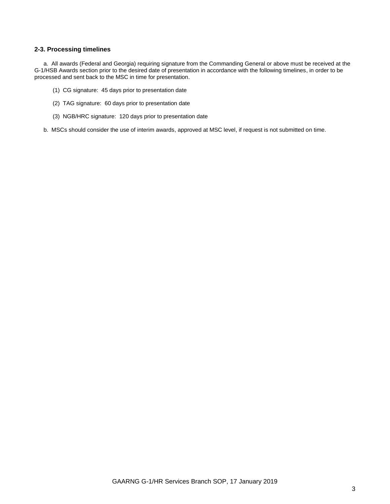# **2-3. Processing timelines**

a. All awards (Federal and Georgia) requiring signature from the Commanding General or above must be received at the G-1/HSB Awards section prior to the desired date of presentation in accordance with the following timelines, in order to be processed and sent back to the MSC in time for presentation.

- (1) CG signature: 45 days prior to presentation date
- (2) TAG signature: 60 days prior to presentation date
- (3) NGB/HRC signature: 120 days prior to presentation date
- b. MSCs should consider the use of interim awards, approved at MSC level, if request is not submitted on time.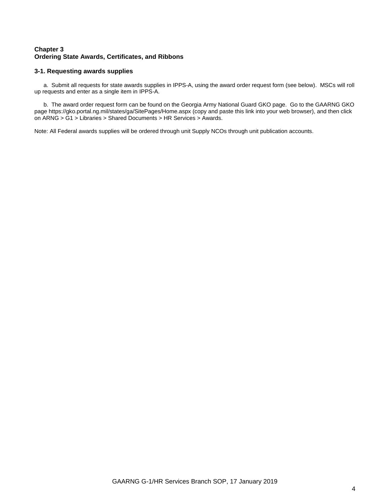# **Chapter 3 Ordering State Awards, Certificates, and Ribbons**

# **3-1. Requesting awards supplies**

a. Submit all requests for state awards supplies in IPPS-A, using the award order request form (see below). MSCs will roll up requests and enter as a single item in IPPS-A.

b. The award order request form can be found on the Georgia Army National Guard GKO page. Go to the GAARNG GKO pag[e https://gko.portal.ng.mil/states/ga/SitePages/Home.aspx](https://gko.portal.ng.mil/states/ga/SitePages/Home.aspx) (copy and paste this link into your web browser), and then click on ARNG > G1 > Libraries > Shared Documents > HR Services > Awards.

Note: All Federal awards supplies will be ordered through unit Supply NCOs through unit publication accounts.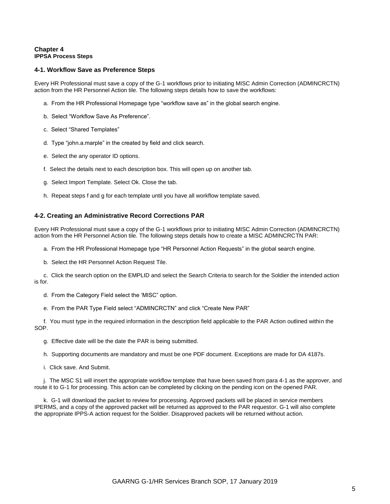# **Chapter 4 IPPSA Process Steps**

# **4-1. Workflow Save as Preference Steps**

Every HR Professional must save a copy of the G-1 workflows prior to initiating MISC Admin Correction (ADMINCRCTN) action from the HR Personnel Action tile. The following steps details how to save the workflows:

- a. From the HR Professional Homepage type "workflow save as" in the global search engine.
- b. Select "Workflow Save As Preference".
- c. Select "Shared Templates"
- d. Type "john.a.marple" in the created by field and click search.
- e. Select the any operator ID options.
- f. Select the details next to each description box. This will open up on another tab.
- g. Select Import Template. Select Ok. Close the tab.
- h. Repeat steps f and g for each template until you have all workflow template saved.

# **4-2. Creating an Administrative Record Corrections PAR**

Every HR Professional must save a copy of the G-1 workflows prior to initiating MISC Admin Correction (ADMINCRCTN) action from the HR Personnel Action tile. The following steps details how to create a MISC ADMINCRCTN PAR:

- a. From the HR Professional Homepage type "HR Personnel Action Requests" in the global search engine.
- b. Select the HR Personnel Action Request Tile.

c. Click the search option on the EMPLID and select the Search Criteria to search for the Soldier the intended action is for.

- d. From the Category Field select the 'MISC" option.
- e. From the PAR Type Field select "ADMINCRCTN" and click "Create New PAR"

f. You must type in the required information in the description field applicable to the PAR Action outlined within the SOP.

- g. Effective date will be the date the PAR is being submitted.
- h. Supporting documents are mandatory and must be one PDF document. Exceptions are made for DA 4187s.
- i. Click save. And Submit.

j. The MSC S1 will insert the appropriate workflow template that have been saved from para 4-1 as the approver, and route it to G-1 for processing. This action can be completed by clicking on the pending icon on the opened PAR.

k. G-1 will download the packet to review for processing. Approved packets will be placed in service members IPERMS, and a copy of the approved packet will be returned as approved to the PAR requestor. G-1 will also complete the appropriate IPPS-A action request for the Soldier. Disapproved packets will be returned without action.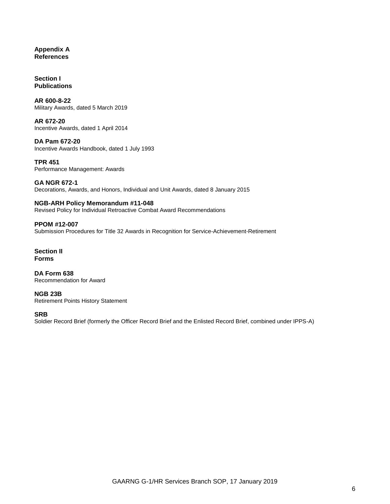# **Appendix A References**

**Section I Publications**

**AR 600-8-22** Military Awards, dated 5 March 2019

**AR 672-20** Incentive Awards, dated 1 April 2014

**DA Pam 672-20** Incentive Awards Handbook, dated 1 July 1993

**TPR 451** Performance Management: Awards

**GA NGR 672-1** Decorations, Awards, and Honors, Individual and Unit Awards, dated 8 January 2015

## **NGB-ARH Policy Memorandum #11-048** Revised Policy for Individual Retroactive Combat Award Recommendations

**PPOM #12-007** Submission Procedures for Title 32 Awards in Recognition for Service-Achievement-Retirement

**Section II Forms**

**DA Form 638** Recommendation for Award

**NGB 23B** Retirement Points History Statement

**SRB**

Soldier Record Brief (formerly the Officer Record Brief and the Enlisted Record Brief, combined under IPPS-A)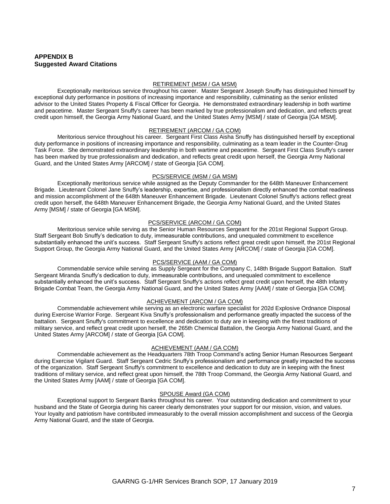# **APPENDIX B Suggested Award Citations**

#### RETIREMENT (MSM / GA MSM)

Exceptionally meritorious service throughout his career. Master Sergeant Joseph Snuffy has distinguished himself by exceptional duty performance in positions of increasing importance and responsibility, culminating as the senior enlisted advisor to the United States Property & Fiscal Officer for Georgia. He demonstrated extraordinary leadership in both wartime and peacetime. Master Sergeant Snuffy's career has been marked by true professionalism and dedication, and reflects great credit upon himself, the Georgia Army National Guard, and the United States Army [MSM] / state of Georgia [GA MSM].

#### RETIREMENT (ARCOM / GA COM)

Meritorious service throughout his career. Sergeant First Class Aisha Snuffy has distinguished herself by exceptional duty performance in positions of increasing importance and responsibility, culminating as a team leader in the Counter-Drug Task Force. She demonstrated extraordinary leadership in both wartime and peacetime. Sergeant First Class Snuffy's career has been marked by true professionalism and dedication, and reflects great credit upon herself, the Georgia Army National Guard, and the United States Army [ARCOM] / state of Georgia [GA COM].

#### PCS/SERVICE (MSM / GA MSM)

Exceptionally meritorious service while assigned as the Deputy Commander for the 648th Maneuver Enhancement Brigade. Lieutenant Colonel Jane Snuffy's leadership, expertise, and professionalism directly enhanced the combat readiness and mission accomplishment of the 648th Maneuver Enhancement Brigade. Lieutenant Colonel Snuffy's actions reflect great credit upon herself, the 648th Maneuver Enhancement Brigade, the Georgia Army National Guard, and the United States Army [MSM] / state of Georgia [GA MSM].

#### PCS/SERVICE (ARCOM / GA COM)

Meritorious service while serving as the Senior Human Resources Sergeant for the 201st Regional Support Group. Staff Sergeant Bob Snuffy's dedication to duty, immeasurable contributions, and unequaled commitment to excellence substantially enhanced the unit's success. Staff Sergeant Snuffy's actions reflect great credit upon himself, the 201st Regional Support Group, the Georgia Army National Guard, and the United States Army [ARCOM] / state of Georgia [GA COM].

#### PCS/SERVICE (AAM / GA COM)

Commendable service while serving as Supply Sergeant for the Company C, 148th Brigade Support Battalion. Staff Sergeant Miranda Snuffy's dedication to duty, immeasurable contributions, and unequaled commitment to excellence substantially enhanced the unit's success. Staff Sergeant Snuffy's actions reflect great credit upon herself, the 48th Infantry Brigade Combat Team, the Georgia Army National Guard, and the United States Army [AAM] / state of Georgia [GA COM].

#### ACHIEVEMENT (ARCOM / GA COM)

Commendable achievement while serving as an electronic warfare specialist for 202d Explosive Ordnance Disposal during Exercise Warrior Forge. Sergeant Kiva Snuffy's professionalism and performance greatly impacted the success of the battalion. Sergeant Snuffy's commitment to excellence and dedication to duty are in keeping with the finest traditions of military service, and reflect great credit upon herself, the 265th Chemical Battalion, the Georgia Army National Guard, and the United States Army [ARCOM] / state of Georgia [GA COM].

## ACHIEVEMENT (AAM / GA COM)

Commendable achievement as the Headquarters 78th Troop Command's acting Senior Human Resources Sergeant during Exercise Vigilant Guard. Staff Sergeant Cedric Snuffy's professionalism and performance greatly impacted the success of the organization. Staff Sergeant Snuffy's commitment to excellence and dedication to duty are in keeping with the finest traditions of military service, and reflect great upon himself, the 78th Troop Command, the Georgia Army National Guard, and the United States Army [AAM] / state of Georgia [GA COM].

# SPOUSE Award (GA COM)

Exceptional support to Sergeant Banks throughout his career. Your outstanding dedication and commitment to your husband and the State of Georgia during his career clearly demonstrates your support for our mission, vision, and values. Your loyalty and patriotism have contributed immeasurably to the overall mission accomplishment and success of the Georgia Army National Guard, and the state of Georgia.